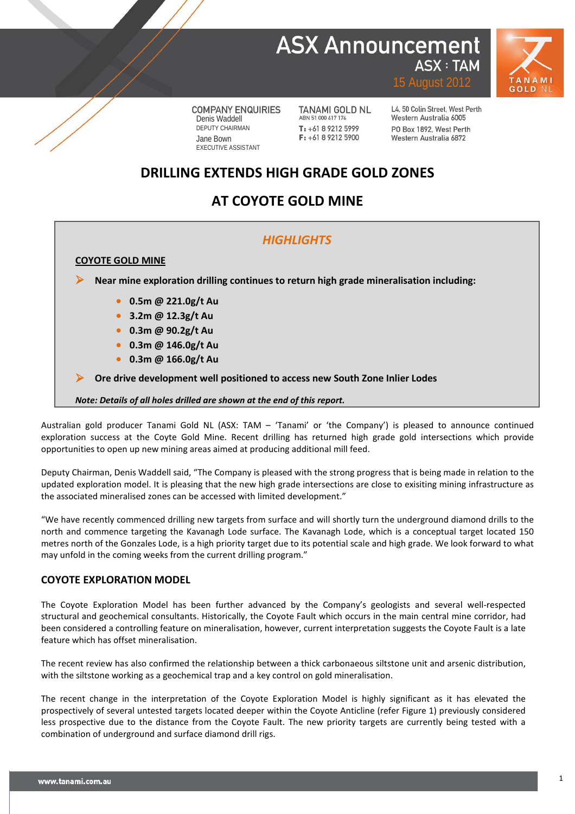## **ASX Announcement ASX: TAM**



**COMPANY ENQUIRIES** Denis Waddell DEPUTY CHAIRMAN Jane Bown EXECUTIVE ASSISTANT

**TANAMI GOLD NL** ABN 51 000 617 176  $T: +61892125999$  $F: +61892125900$ 

L4, 50 Colin Street, West Perth Western Australia 6005 PO Box 1892, West Perth Western Australia 6872

15 August 2012

### **DRILLING EXTENDS HIGH GRADE GOLD ZONES**

## **AT COYOTE GOLD MINE**

### *HIGHLIGHTS*

**COYOTE GOLD MINE**

**Near mine exploration drilling continues to return high grade mineralisation including:**

- **0.5m @ 221.0g/t Au**
- **3.2m @ 12.3g/t Au**
- **0.3m @ 90.2g/t Au**
- **0.3m @ 146.0g/t Au**
- **0.3m @ 166.0g/t Au**

**Ore drive development well positioned to access new South Zone Inlier Lodes**

*Note: Details of all holes drilled are shown at the end of this report.*

Australian gold producer Tanami Gold NL (ASX: TAM – 'Tanami' or 'the Company') is pleased to announce continued exploration success at the Coyte Gold Mine. Recent drilling has returned high grade gold intersections which provide opportunities to open up new mining areas aimed at producing additional mill feed.

Deputy Chairman, Denis Waddell said, "The Company is pleased with the strong progress that is being made in relation to the updated exploration model. It is pleasing that the new high grade intersections are close to exisiting mining infrastructure as the associated mineralised zones can be accessed with limited development."

"We have recently commenced drilling new targets from surface and will shortly turn the underground diamond drills to the north and commence targeting the Kavanagh Lode surface. The Kavanagh Lode, which is a conceptual target located 150 metres north of the Gonzales Lode, is a high priority target due to its potential scale and high grade. We look forward to what may unfold in the coming weeks from the current drilling program."

### **COYOTE EXPLORATION MODEL**

The Coyote Exploration Model has been further advanced by the Company's geologists and several well-respected structural and geochemical consultants. Historically, the Coyote Fault which occurs in the main central mine corridor, had been considered a controlling feature on mineralisation, however, current interpretation suggests the Coyote Fault is a late feature which has offset mineralisation.

The recent review has also confirmed the relationship between a thick carbonaeous siltstone unit and arsenic distribution, with the siltstone working as a geochemical trap and a key control on gold mineralisation.

The recent change in the interpretation of the Coyote Exploration Model is highly significant as it has elevated the prospectively of several untested targets located deeper within the Coyote Anticline (refer Figure 1) previously considered less prospective due to the distance from the Coyote Fault. The new priority targets are currently being tested with a combination of underground and surface diamond drill rigs.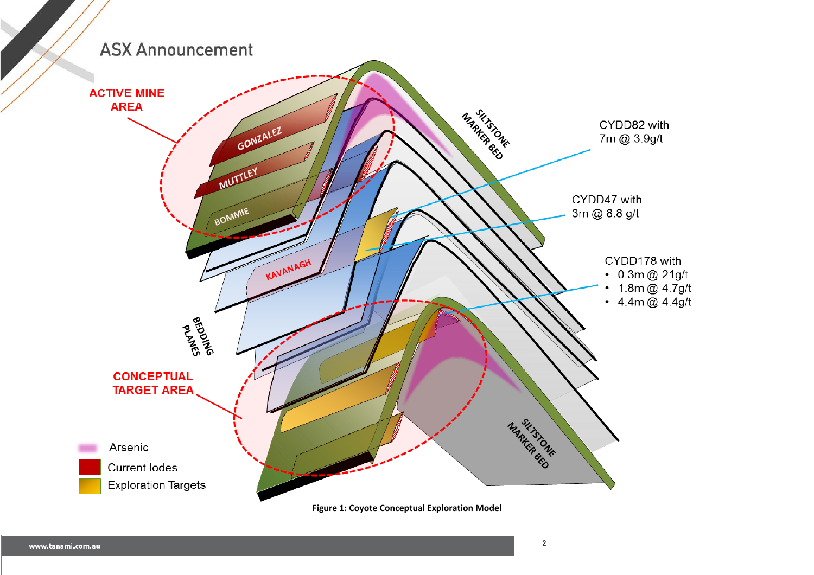

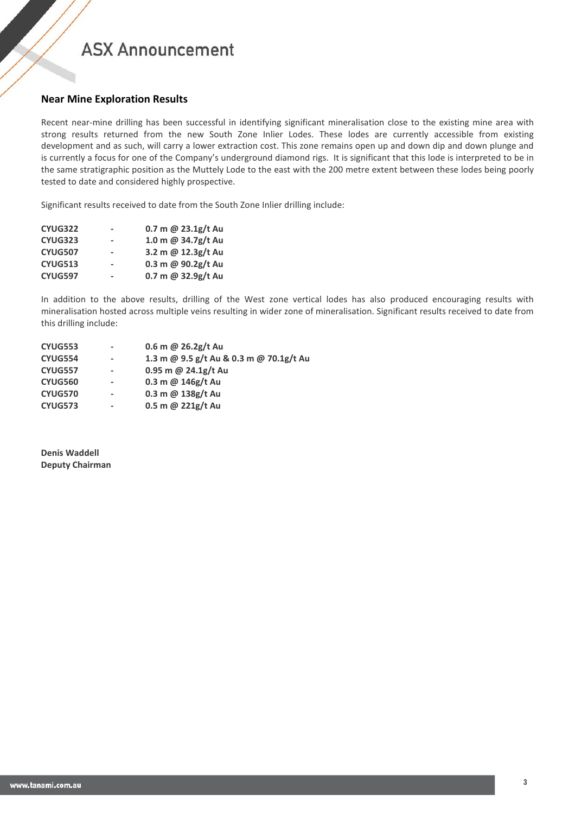# **ASX Announcement**

### **Near Mine Exploration Results**

Recent near-mine drilling has been successful in identifying significant mineralisation close to the existing mine area with strong results returned from the new South Zone Inlier Lodes. These lodes are currently accessible from existing development and as such, will carry a lower extraction cost. This zone remains open up and down dip and down plunge and is currently a focus for one of the Company's underground diamond rigs. It is significant that this lode is interpreted to be in the same stratigraphic position as the Muttely Lode to the east with the 200 metre extent between these lodes being poorly tested to date and considered highly prospective.

Significant results received to date from the South Zone Inlier drilling include:

| <b>CYUG322</b> | ۰                        | 0.7 m @ $23.1g/t$ Au |
|----------------|--------------------------|----------------------|
| <b>CYUG323</b> |                          | 1.0 m @ 34.7g/t Au   |
| <b>CYUG507</b> | $\blacksquare$           | 3.2 m @ 12.3g/t Au   |
| <b>CYUG513</b> | $\overline{\phantom{a}}$ | 0.3 m @ 90.2g/t Au   |
| <b>CYUG597</b> | ۰                        | 0.7 m @ $32.9g/t$ Au |

In addition to the above results, drilling of the West zone vertical lodes has also produced encouraging results with mineralisation hosted across multiple veins resulting in wider zone of mineralisation. Significant results received to date from this drilling include:

| CYUG553        |                          | 0.6 m @ $26.2g/t$ Au                    |
|----------------|--------------------------|-----------------------------------------|
| CYUG554        |                          | 1.3 m @ 9.5 g/t Au & 0.3 m @ 70.1g/t Au |
| <b>CYUG557</b> | $\overline{\phantom{a}}$ | 0.95 m @ $24.1g/t$ Au                   |
| CYUG560        |                          | $0.3$ m @ 146g/t Au                     |
| CYUG570        |                          | 0.3 m @ 138g/t Au                       |
| CYUG573        | ۰                        | 0.5 m @ $221g/t$ Au                     |

**Denis Waddell Deputy Chairman**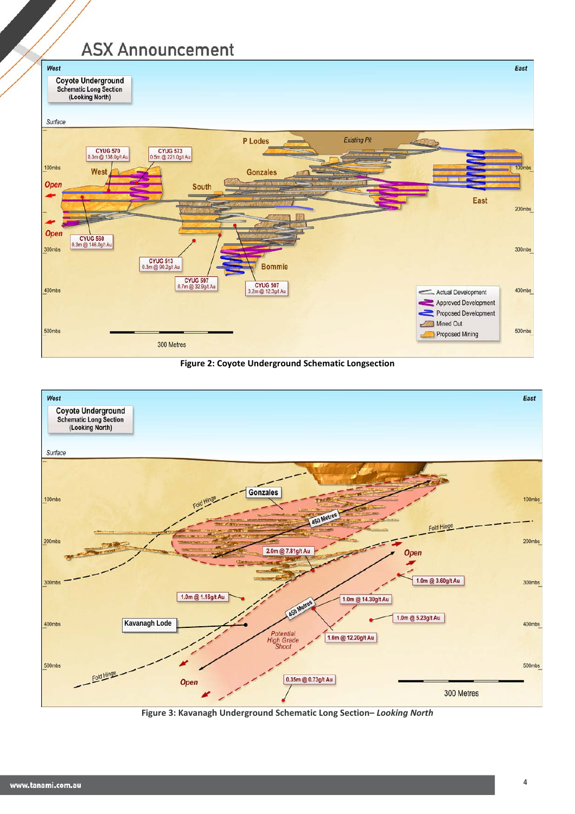# **ASX Announcement**



**Figure 2: Coyote Underground Schematic Longsection**



**Figure 3: Kavanagh Underground Schematic Long Section–** *Looking North*